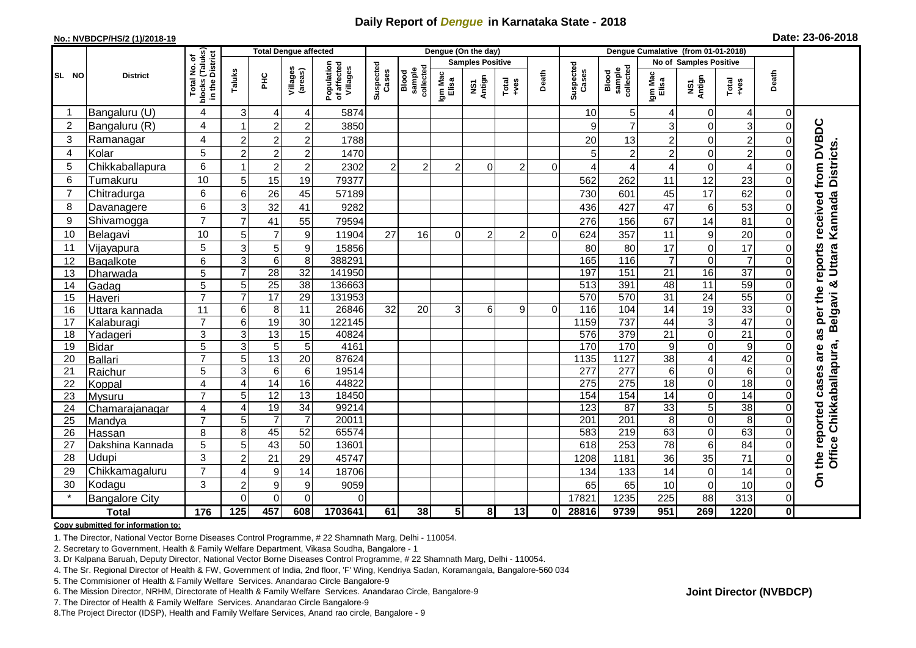## **Daily Report of** *Dengue* **in Karnataka State - 2018**

## **No.: NVBDCP/HS/2 (1)/2018-19**

| Date: 23-06-2018 |  |  |  |  |
|------------------|--|--|--|--|
|------------------|--|--|--|--|

|                |                       |                                                 |                  |                  | <b>Total Dengue affected</b> |                                       | Dengue (On the day) |                              |                         |                         |                |          |                    |                              |                  |                        |                 |          |                                    |
|----------------|-----------------------|-------------------------------------------------|------------------|------------------|------------------------------|---------------------------------------|---------------------|------------------------------|-------------------------|-------------------------|----------------|----------|--------------------|------------------------------|------------------|------------------------|-----------------|----------|------------------------------------|
|                |                       | ৳                                               |                  |                  |                              |                                       |                     |                              |                         | <b>Samples Positive</b> |                |          |                    |                              |                  | No of Samples Positive |                 |          |                                    |
| SL NO          | <b>District</b>       | blocks (Taluks)<br>in the District<br>Total No. | Taluks           | <b>PHC</b>       | Villages<br>(areas)          | Population<br>of affected<br>Villages | Suspected<br>Cases  | collected<br>sample<br>Blood | Igm Mac<br>Elisa        | NS1<br>Antign           | Total<br>+ves  | Death    | Suspected<br>Cases | Blood<br>sample<br>collected | Igm Mac<br>Elisa | NS1<br>Antign          | Total<br>$+veS$ | Death    |                                    |
|                | Bangaluru (U)         | 4                                               | 3                | 4                | 4                            | 5874                                  |                     |                              |                         |                         |                |          | 10                 | 5                            | 4                | $\Omega$               | 4               | 0        |                                    |
| $\overline{2}$ | Bangaluru (R)         | 4                                               |                  | $\overline{c}$   | $\overline{c}$               | 3850                                  |                     |                              |                         |                         |                |          | 9                  | $\overline{7}$               | 3                | $\Omega$               | 3               |          |                                    |
| 3              | Ramanagar             | 4                                               | $\overline{2}$   | 2                | $\overline{c}$               | 1788                                  |                     |                              |                         |                         |                |          | 20                 | 13                           | $\overline{2}$   | $\Omega$               | $\overline{2}$  |          |                                    |
| $\overline{4}$ | Kolar                 | 5                                               | $\overline{2}$   | $\overline{c}$   | $\overline{c}$               | 1470                                  |                     |                              |                         |                         |                |          | 5                  | $\overline{2}$               | $\overline{2}$   | $\Omega$               | $\overline{2}$  |          |                                    |
| 5              | Chikkaballapura       | 6                                               |                  | $\overline{c}$   | $\overline{2}$               | 2302                                  | $\overline{c}$      | 2                            | $\overline{c}$          | $\Omega$                | $\overline{c}$ | $\Omega$ | 4                  | 4                            | $\overline{4}$   | $\Omega$               |                 |          | from DVBDC                         |
| 6              | Tumakuru              | 10                                              | 5                | 15               | 19                           | 79377                                 |                     |                              |                         |                         |                |          | 562                | 262                          | 11               | 12                     | 23              |          |                                    |
| $\overline{7}$ | Chitradurga           | 6                                               | 6                | 26               | 45                           | 57189                                 |                     |                              |                         |                         |                |          | 730                | 601                          | 45               | 17                     | 62              |          | Belgavi & Uttara Kannada Districts |
| 8              | Davanagere            | 6                                               | 3                | 32               | 41                           | 9282                                  |                     |                              |                         |                         |                |          | 436                | 427                          | 47               | 6                      | 53              |          |                                    |
| 9              | Shivamogga            | $\overline{7}$                                  | 7                | 41               | 55                           | 79594                                 |                     |                              |                         |                         |                |          | 276                | 156                          | 67               | 14                     | 81              |          | received                           |
| 10             | Belagavi              | 10                                              | 5                | $\overline{7}$   | $\boldsymbol{9}$             | 11904                                 | 27                  | 16                           | 0                       | $\overline{c}$          | $\overline{c}$ | $\Omega$ | 624                | 357                          | 11               | 9                      | $\overline{20}$ |          |                                    |
| 11             | Vijayapura            | 5                                               | 3                | 5                | $\boldsymbol{9}$             | 15856                                 |                     |                              |                         |                         |                |          | 80                 | 80                           | 17               | $\mathbf 0$            | 17              |          |                                    |
| 12             | Bagalkote             | $\overline{6}$                                  | 3                | $6\phantom{1}$   | $\overline{8}$               | 388291                                |                     |                              |                         |                         |                |          | 165                | $\frac{116}{116}$            | $\overline{7}$   | $\Omega$               | $\overline{7}$  |          | reports                            |
| 13             | Dharwada              | $\overline{5}$                                  | $\overline{7}$   | 28               | 32                           | 141950                                |                     |                              |                         |                         |                |          | 197                | 151                          | $\overline{21}$  | 16                     | $\overline{37}$ |          |                                    |
| 14             | Gadag                 | 5                                               | 5                | 25               | 38                           | 136663                                |                     |                              |                         |                         |                |          | $\overline{513}$   | 391                          | 48               | $\overline{11}$        | 59              | $\Omega$ |                                    |
| 15             | Haveri                | $\overline{7}$                                  | 7                | 17               | $\overline{29}$              | 131953                                |                     |                              |                         |                         |                |          | 570                | 570                          | 31               | $\overline{24}$        | 55              | $\Omega$ | the                                |
| 16             | Uttara kannada        | 11                                              | 6                | 8                | 11                           | 26846                                 | 32                  | 20                           | 3                       | 6                       | 9              | $\Omega$ | 116                | 104                          | 14               | 19                     | 33              | ∩        | per                                |
| 17             | Kalaburagi            | $\overline{7}$                                  | 6                | $\overline{19}$  | 30                           | 122145                                |                     |                              |                         |                         |                |          | 1159               | 737                          | 44               | 3                      | 47              |          |                                    |
| 18             | Yadageri              | 3                                               | 3                | 13               | 15                           | 40824                                 |                     |                              |                         |                         |                |          | 576                | 379                          | $\overline{21}$  | $\Omega$               | $\overline{21}$ |          | S<br>ω                             |
| 19             | Bidar                 | $\overline{5}$                                  | 3                | $\overline{5}$   | $\overline{5}$               | 4161                                  |                     |                              |                         |                         |                |          | 170                | 170                          | 9                | $\Omega$               | $\overline{9}$  | $\Omega$ |                                    |
| 20             | Ballari               | $\overline{7}$                                  | 5                | 13               | 20                           | 87624                                 |                     |                              |                         |                         |                |          | 1135               | 1127                         | 38               | 4                      | 42              |          | are                                |
| 21             | Raichur               | 5                                               | 3                | 6                | $\,6$                        | 19514                                 |                     |                              |                         |                         |                |          | 277                | $\overline{277}$             | $\,6$            | 0                      | $\,6$           |          | 99                                 |
| 22             | Koppal                | $\overline{4}$                                  | $\overline{4}$   | 14               | 16                           | 44822                                 |                     |                              |                         |                         |                |          | 275                | 275                          | 18               | $\mathbf 0$            | 18              |          | cas                                |
| 23             | Mysuru                | 7                                               | 5                | $\overline{12}$  | 13                           | 18450                                 |                     |                              |                         |                         |                |          | 154                | 154                          | 14               | $\Omega$               | 14              |          |                                    |
| 24             | Chamarajanagar        | 4                                               | 4                | 19               | 34                           | 99214                                 |                     |                              |                         |                         |                |          | 123                | 87                           | 33               | 5                      | $\overline{38}$ |          |                                    |
| 25             | Mandya                | $\overline{7}$                                  | 5                | $\overline{7}$   | $\overline{7}$               | 20011                                 |                     |                              |                         |                         |                |          | 201                | 201                          | 8                | $\Omega$               | 8               |          | reported                           |
| 26             | Hassan                | 8                                               | 8                | 45               | 52                           | 65574                                 |                     |                              |                         |                         |                |          | 583                | 219                          | 63               | $\Omega$               | 63              |          |                                    |
| 27             | Dakshina Kannada      | 5                                               | 5                | 43               | 50                           | 13601                                 |                     |                              |                         |                         |                |          | 618                | 253                          | 78               | 6                      | 84              |          |                                    |
| 28             | Udupi                 | 3                                               | $\overline{2}$   | 21               | 29                           | 45747                                 |                     |                              |                         |                         |                |          | 1208               | 1181                         | 36               | 35                     | 71              |          | Office Chikkaballapura,<br>the     |
| 29             | Chikkamagaluru        | $\overline{7}$                                  | 4                | 9                | 14                           | 18706                                 |                     |                              |                         |                         |                |          | 134                | 133                          | 14               | $\mathbf 0$            | 14              | 0        |                                    |
| 30             | Kodagu                | 3                                               | $\overline{2}$   | $\boldsymbol{9}$ | $\boldsymbol{9}$             | 9059                                  |                     |                              |                         |                         |                |          | 65                 | 65                           | 10               | $\mathbf 0$            | 10              | ი        | δ                                  |
|                | <b>Bangalore City</b> |                                                 | $\Omega$         | $\mathbf 0$      | $\overline{0}$               | 0                                     |                     |                              |                         |                         |                |          | 1782               | 1235                         | 225              | 88                     | 313             | 0        |                                    |
|                | <b>Total</b>          | 176                                             | $\overline{125}$ | 457              | 608                          | 1703641                               | 61                  | 38                           | $\overline{\mathbf{5}}$ | 8 <sup>1</sup>          | 13             | Οl       | 28816              | 9739                         | 951              | 269                    | 1220            | οl       |                                    |

**Copy submitted for information to:**

1. The Director, National Vector Borne Diseases Control Programme, # 22 Shamnath Marg, Delhi - 110054.

2. Secretary to Government, Health & Family Welfare Department, Vikasa Soudha, Bangalore - 1

3. Dr Kalpana Baruah, Deputy Director, National Vector Borne Diseases Control Programme, # 22 Shamnath Marg, Delhi - 110054.

4. The Sr. Regional Director of Health & FW, Government of India, 2nd floor, 'F' Wing, Kendriya Sadan, Koramangala, Bangalore-560 034

5. The Commisioner of Health & Family Welfare Services. Anandarao Circle Bangalore-9

6. The Mission Director, NRHM, Directorate of Health & Family Welfare Services. Anandarao Circle, Bangalore-9

7. The Director of Health & Family Welfare Services. Anandarao Circle Bangalore-9

8.The Project Director (IDSP), Health and Family Welfare Services, Anand rao circle, Bangalore - 9

**Joint Director (NVBDCP)**